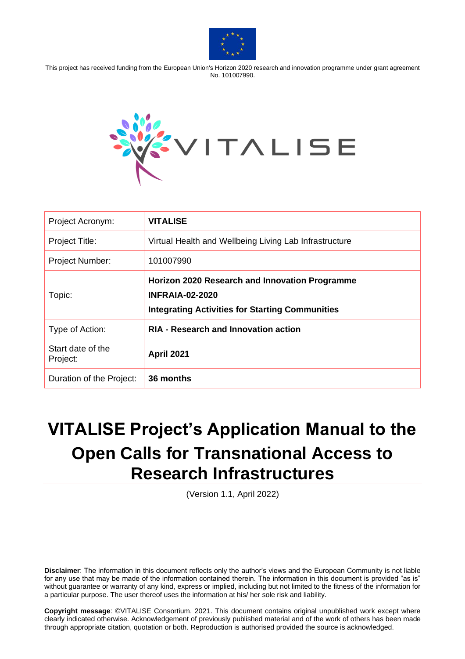

This project has received funding from the European Union's Horizon 2020 research and innovation programme under grant agreement No. 101007990.



| Project Acronym:              | <b>VITALISE</b>                                                                                                                    |
|-------------------------------|------------------------------------------------------------------------------------------------------------------------------------|
| <b>Project Title:</b>         | Virtual Health and Wellbeing Living Lab Infrastructure                                                                             |
| <b>Project Number:</b>        | 101007990                                                                                                                          |
| Topic:                        | Horizon 2020 Research and Innovation Programme<br><b>INFRAIA-02-2020</b><br><b>Integrating Activities for Starting Communities</b> |
| Type of Action:               | <b>RIA - Research and Innovation action</b>                                                                                        |
| Start date of the<br>Project: | <b>April 2021</b>                                                                                                                  |
| Duration of the Project:      | 36 months                                                                                                                          |

# **VITALISE Project's Application Manual to the Open Calls for Transnational Access to Research Infrastructures**

(Version 1.1, April 2022)

**Disclaimer**: The information in this document reflects only the author's views and the European Community is not liable for any use that may be made of the information contained therein. The information in this document is provided "as is" without guarantee or warranty of any kind, express or implied, including but not limited to the fitness of the information for a particular purpose. The user thereof uses the information at his/ her sole risk and liability.

**Copyright message**: ©VITALISE Consortium, 2021. This document contains original unpublished work except where clearly indicated otherwise. Acknowledgement of previously published material and of the work of others has been made through appropriate citation, quotation or both. Reproduction is authorised provided the source is acknowledged.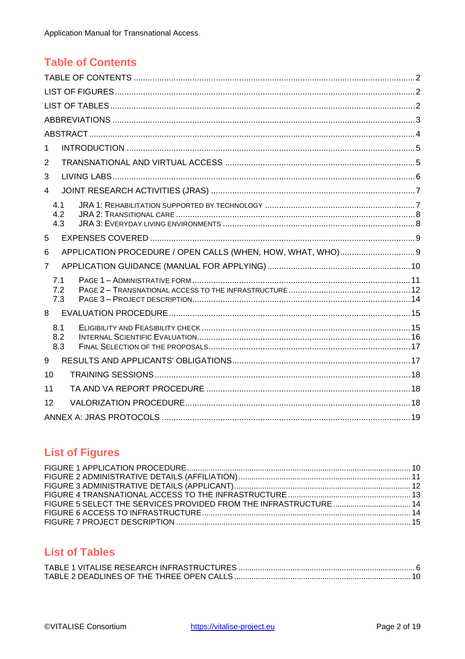## <span id="page-1-0"></span>**Table of Contents**

| 1              |            |  |
|----------------|------------|--|
| 2              |            |  |
| 3              |            |  |
| $\overline{4}$ |            |  |
|                | 4.1        |  |
|                | 4.2<br>4.3 |  |
| 5              |            |  |
| 6              |            |  |
| $\overline{7}$ |            |  |
|                | 7.1        |  |
|                | 7.2<br>7.3 |  |
| 8              |            |  |
|                |            |  |
|                | 8.1<br>8.2 |  |
|                | 8.3        |  |
| 9              |            |  |
| 10             |            |  |
| 11             |            |  |
| 12             |            |  |
|                |            |  |

## <span id="page-1-1"></span>**List of Figures**

## <span id="page-1-2"></span>**List of Tables**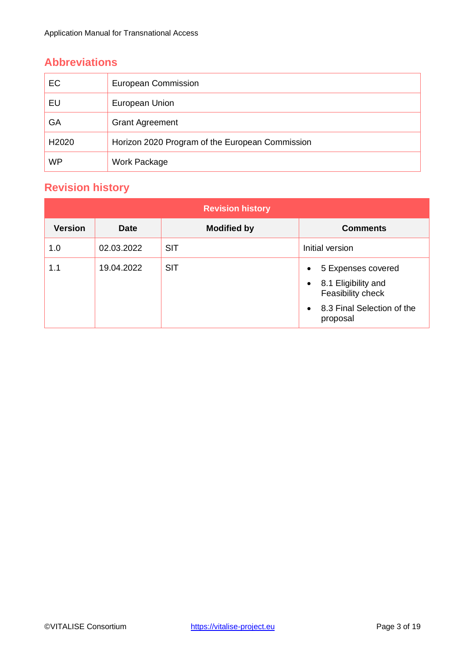## <span id="page-2-0"></span>**Abbreviations**

| EC        | European Commission                             |
|-----------|-------------------------------------------------|
| EU        | European Union                                  |
| GA        | <b>Grant Agreement</b>                          |
| H2020     | Horizon 2020 Program of the European Commission |
| <b>WP</b> | Work Package                                    |

## **Revision history**

|                |             | <b>Revision history</b> |                                                                                                                                      |
|----------------|-------------|-------------------------|--------------------------------------------------------------------------------------------------------------------------------------|
| <b>Version</b> | <b>Date</b> | <b>Modified by</b>      | <b>Comments</b>                                                                                                                      |
| 1.0            | 02.03.2022  | <b>SIT</b>              | Initial version                                                                                                                      |
| 1.1            | 19.04.2022  | <b>SIT</b>              | 5 Expenses covered<br>$\bullet$<br>8.1 Eligibility and<br>$\bullet$<br>Feasibility check<br>• 8.3 Final Selection of the<br>proposal |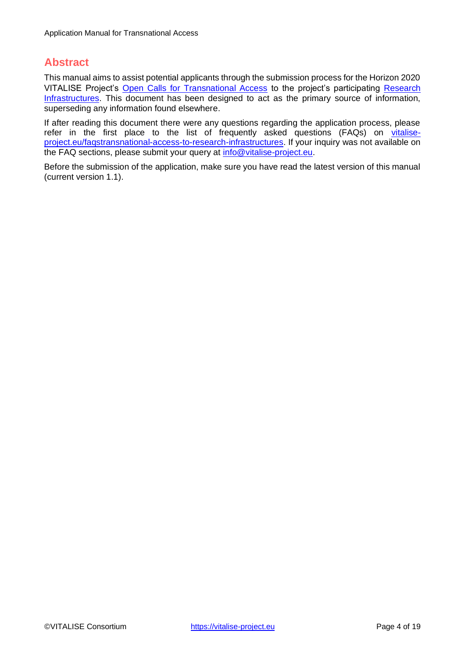#### <span id="page-3-0"></span>**Abstract**

This manual aims to assist potential applicants through the submission process for the Horizon 2020 VITALISE Project'[s](https://vitalise-project.eu/transnational-access-to-research-infrastructures/) [Open Calls for Transnational Access](https://vitalise-project.eu/transnational-access-to-research-infrastructures/) to the project's participating [Research](https://vitalise-project.eu/living-labs/) [Infrastructures.](https://vitalise-project.eu/living-labs/) This document has been designed to act as the primary source of information, superseding any information found elsewhere.

If after reading this document there were any questions regarding the application process, please refer in the first place to the list of frequently asked questions (FAQs) on [vitalise](https://vitalise-project.eu/faqs-transnational-access-to-research-infrastructures/)[project.eu/faqstransnational-access-to-research-infrastructures.](https://vitalise-project.eu/faqs-transnational-access-to-research-infrastructures/) If your inquiry was not available on the FAQ sections, please submit your query at **info@vitalise-project.eu**.

Before the submission of the application, make sure you have read the latest version of this manual (current version 1.1).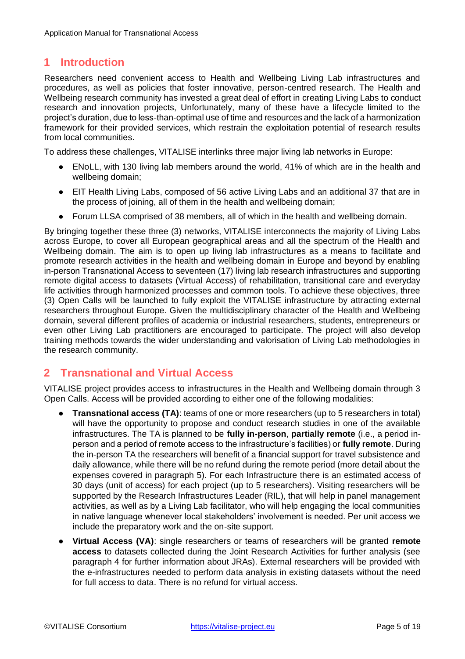## <span id="page-4-0"></span>**1 Introduction**

Researchers need convenient access to Health and Wellbeing Living Lab infrastructures and procedures, as well as policies that foster innovative, person-centred research. The Health and Wellbeing research community has invested a great deal of effort in creating Living Labs to conduct research and innovation projects, Unfortunately, many of these have a lifecycle limited to the project's duration, due to less-than-optimal use of time and resources and the lack of a harmonization framework for their provided services, which restrain the exploitation potential of research results from local communities.

To address these challenges, VITALISE interlinks three major living lab networks in Europe:

- ENoLL, with 130 living lab members around the world, 41% of which are in the health and wellbeing domain;
- EIT Health Living Labs, composed of 56 active Living Labs and an additional 37 that are in the process of joining, all of them in the health and wellbeing domain;
- Forum LLSA comprised of 38 members, all of which in the health and wellbeing domain.

By bringing together these three (3) networks, VITALISE interconnects the majority of Living Labs across Europe, to cover all European geographical areas and all the spectrum of the Health and Wellbeing domain. The aim is to open up living lab infrastructures as a means to facilitate and promote research activities in the health and wellbeing domain in Europe and beyond by enabling in-person Transnational Access to seventeen (17) living lab research infrastructures and supporting remote digital access to datasets (Virtual Access) of rehabilitation, transitional care and everyday life activities through harmonized processes and common tools. To achieve these objectives, three (3) Open Calls will be launched to fully exploit the VITALISE infrastructure by attracting external researchers throughout Europe. Given the multidisciplinary character of the Health and Wellbeing domain, several different profiles of academia or industrial researchers, students, entrepreneurs or even other Living Lab practitioners are encouraged to participate. The project will also develop training methods towards the wider understanding and valorisation of Living Lab methodologies in the research community.

#### <span id="page-4-1"></span>**2 Transnational and Virtual Access**

VITALISE project provides access to infrastructures in the Health and Wellbeing domain through 3 Open Calls. Access will be provided according to either one of the following modalities:

- **Transnational access (TA)**: teams of one or more researchers (up to 5 researchers in total) will have the opportunity to propose and conduct research studies in one of the available infrastructures. The TA is planned to be **fully in-person**, **partially remote** (i.e., a period inperson and a period of remote access to the infrastructure's facilities) or **fully remote**. During the in-person TA the researchers will benefit of a financial support for travel subsistence and daily allowance, while there will be no refund during the remote period (more detail about the expenses covered in paragraph 5). For each Infrastructure there is an estimated access of 30 days (unit of access) for each project (up to 5 researchers). Visiting researchers will be supported by the Research Infrastructures Leader (RIL), that will help in panel management activities, as well as by a Living Lab facilitator, who will help engaging the local communities in native language whenever local stakeholders' involvement is needed. Per unit access we include the preparatory work and the on-site support.
- **Virtual Access (VA)**: single researchers or teams of researchers will be granted **remote access** to datasets collected during the Joint Research Activities for further analysis (see paragraph 4 for further information about JRAs). External researchers will be provided with the e-infrastructures needed to perform data analysis in existing datasets without the need for full access to data. There is no refund for virtual access.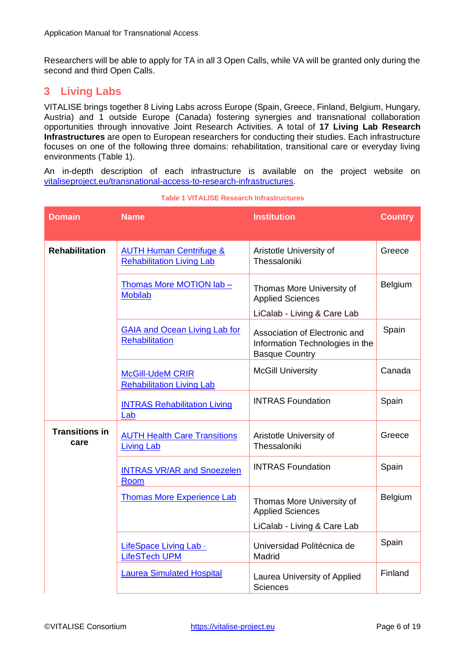Researchers will be able to apply for TA in all 3 Open Calls, while VA will be granted only during the second and third Open Calls.

### <span id="page-5-0"></span>**3 Living Labs**

VITALISE brings together 8 Living Labs across Europe (Spain, Greece, Finland, Belgium, Hungary, Austria) and 1 outside Europe (Canada) fostering synergies and transnational collaboration opportunities through innovative Joint Research Activities. A total of **17 Living Lab Research Infrastructures** are open to European researchers for conducting their studies. Each infrastructure focuses on one of the following three domains: rehabilitation, transitional care or everyday living environments (Table 1).

An in-depth description of each infrastructure is available on the project website on [vitaliseproject.eu/transnational-access-to-research-infrastructures.](https://vitalise-project.eu/transnational-access-to-research-infrastructures/)

<span id="page-5-1"></span>

| <b>Domain</b>                 | <b>Name</b>                                                            | <b>Institution</b>                                                                        | <b>Country</b> |
|-------------------------------|------------------------------------------------------------------------|-------------------------------------------------------------------------------------------|----------------|
| <b>Rehabilitation</b>         | <b>AUTH Human Centrifuge &amp;</b><br><b>Rehabilitation Living Lab</b> | Aristotle University of<br>Thessaloniki                                                   | Greece         |
|                               | Thomas More MOTION lab -<br><b>Mobilab</b>                             | Thomas More University of<br><b>Applied Sciences</b><br>LiCalab - Living & Care Lab       | Belgium        |
|                               | <b>GAIA and Ocean Living Lab for</b><br><b>Rehabilitation</b>          | Association of Electronic and<br>Information Technologies in the<br><b>Basque Country</b> | Spain          |
|                               | <b>McGill-UdeM CRIR</b><br><b>Rehabilitation Living Lab</b>            | <b>McGill University</b>                                                                  | Canada         |
|                               | <b>INTRAS Rehabilitation Living</b><br>Lab                             | <b>INTRAS Foundation</b>                                                                  | Spain          |
| <b>Transitions in</b><br>care | <b>AUTH Health Care Transitions</b><br><b>Living Lab</b>               | Aristotle University of<br>Thessaloniki                                                   | Greece         |
|                               | <b>INTRAS VR/AR and Snoezelen</b><br>Room                              | <b>INTRAS Foundation</b>                                                                  | Spain          |
|                               | <b>Thomas More Experience Lab</b>                                      | Thomas More University of<br><b>Applied Sciences</b>                                      | Belgium        |
|                               |                                                                        | LiCalab - Living & Care Lab                                                               |                |
|                               | LifeSpace Living Lab .<br><b>LifeSTech UPM</b>                         | Universidad Politécnica de<br>Madrid                                                      | Spain          |
|                               | <b>Laurea Simulated Hospital</b>                                       | Laurea University of Applied<br><b>Sciences</b>                                           | Finland        |

#### **Table 1 VITALISE Research Infrastructures**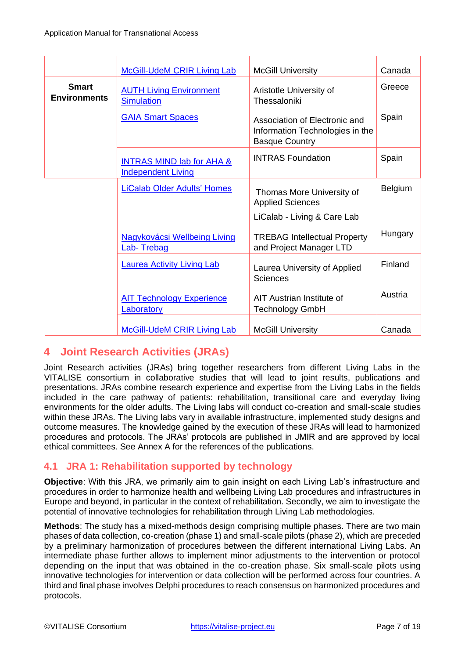|                                     | <b>McGill-UdeM CRIR Living Lab</b>                                | <b>McGill University</b>                                                                  | Canada  |
|-------------------------------------|-------------------------------------------------------------------|-------------------------------------------------------------------------------------------|---------|
| <b>Smart</b><br><b>Environments</b> | <b>AUTH Living Environment</b><br><b>Simulation</b>               | Aristotle University of<br>Thessaloniki                                                   | Greece  |
|                                     | <b>GAIA Smart Spaces</b>                                          | Association of Electronic and<br>Information Technologies in the<br><b>Basque Country</b> |         |
|                                     | <b>INTRAS MIND lab for AHA &amp;</b><br><b>Independent Living</b> | <b>INTRAS Foundation</b>                                                                  | Spain   |
|                                     | <b>LiCalab Older Adults' Homes</b>                                | Thomas More University of<br><b>Applied Sciences</b>                                      | Belgium |
|                                     |                                                                   | LiCalab - Living & Care Lab                                                               |         |
|                                     | <b>Nagykovácsi Wellbeing Living</b><br>Lab-Trebag                 | <b>TREBAG Intellectual Property</b><br>and Project Manager LTD                            | Hungary |
|                                     | <b>Laurea Activity Living Lab</b>                                 | Laurea University of Applied<br><b>Sciences</b>                                           | Finland |
|                                     | <b>AIT Technology Experience</b><br><b>Laboratory</b>             | AIT Austrian Institute of<br><b>Technology GmbH</b>                                       | Austria |
|                                     | <b>McGill-UdeM CRIR Living Lab</b>                                | <b>McGill University</b>                                                                  | Canada  |

## <span id="page-6-0"></span>**4 Joint Research Activities (JRAs)**

Joint Research activities (JRAs) bring together researchers from different Living Labs in the VITALISE consortium in collaborative studies that will lead to joint results, publications and presentations. JRAs combine research experience and expertise from the Living Labs in the fields included in the care pathway of patients: rehabilitation, transitional care and everyday living environments for the older adults. The Living labs will conduct co-creation and small-scale studies within these JRAs. The Living labs vary in available infrastructure, implemented study designs and outcome measures. The knowledge gained by the execution of these JRAs will lead to harmonized procedures and protocols. The JRAs' protocols are published in JMIR and are approved by local ethical committees. See Annex A for the references of the publications.

#### <span id="page-6-1"></span>**4.1 JRA 1: Rehabilitation supported by technology**

**Objective**: With this JRA, we primarily aim to gain insight on each Living Lab's infrastructure and procedures in order to harmonize health and wellbeing Living Lab procedures and infrastructures in Europe and beyond, in particular in the context of rehabilitation. Secondly, we aim to investigate the potential of innovative technologies for rehabilitation through Living Lab methodologies.

**Methods**: The study has a mixed-methods design comprising multiple phases. There are two main phases of data collection, co-creation (phase 1) and small-scale pilots (phase 2), which are preceded by a preliminary harmonization of procedures between the different international Living Labs. An intermediate phase further allows to implement minor adjustments to the intervention or protocol depending on the input that was obtained in the co-creation phase. Six small-scale pilots using innovative technologies for intervention or data collection will be performed across four countries. A third and final phase involves Delphi procedures to reach consensus on harmonized procedures and protocols.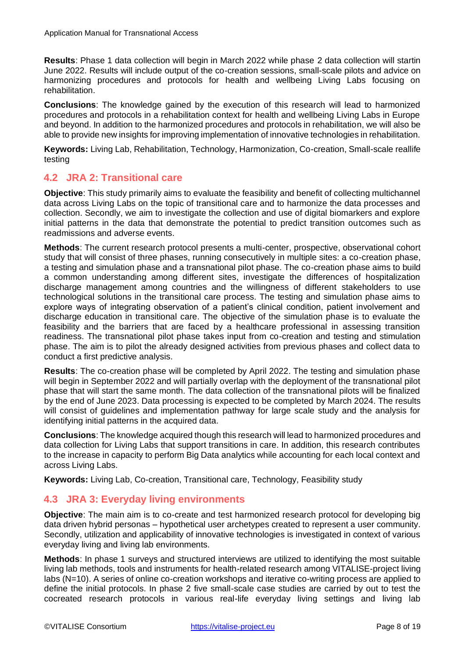**Results**: Phase 1 data collection will begin in March 2022 while phase 2 data collection will startin June 2022. Results will include output of the co-creation sessions, small-scale pilots and advice on harmonizing procedures and protocols for health and wellbeing Living Labs focusing on rehabilitation.

**Conclusions**: The knowledge gained by the execution of this research will lead to harmonized procedures and protocols in a rehabilitation context for health and wellbeing Living Labs in Europe and beyond. In addition to the harmonized procedures and protocols in rehabilitation, we will also be able to provide new insights for improving implementation of innovative technologies in rehabilitation.

**Keywords:** Living Lab, Rehabilitation, Technology, Harmonization, Co-creation, Small-scale reallife testing

#### <span id="page-7-0"></span>**4.2 JRA 2: Transitional care**

**Objective**: This study primarily aims to evaluate the feasibility and benefit of collecting multichannel data across Living Labs on the topic of transitional care and to harmonize the data processes and collection. Secondly, we aim to investigate the collection and use of digital biomarkers and explore initial patterns in the data that demonstrate the potential to predict transition outcomes such as readmissions and adverse events.

**Methods**: The current research protocol presents a multi-center, prospective, observational cohort study that will consist of three phases, running consecutively in multiple sites: a co-creation phase, a testing and simulation phase and a transnational pilot phase. The co-creation phase aims to build a common understanding among different sites, investigate the differences of hospitalization discharge management among countries and the willingness of different stakeholders to use technological solutions in the transitional care process. The testing and simulation phase aims to explore ways of integrating observation of a patient's clinical condition, patient involvement and discharge education in transitional care. The objective of the simulation phase is to evaluate the feasibility and the barriers that are faced by a healthcare professional in assessing transition readiness. The transnational pilot phase takes input from co-creation and testing and stimulation phase. The aim is to pilot the already designed activities from previous phases and collect data to conduct a first predictive analysis.

**Results**: The co-creation phase will be completed by April 2022. The testing and simulation phase will begin in September 2022 and will partially overlap with the deployment of the transnational pilot phase that will start the same month. The data collection of the transnational pilots will be finalized by the end of June 2023. Data processing is expected to be completed by March 2024. The results will consist of guidelines and implementation pathway for large scale study and the analysis for identifying initial patterns in the acquired data.

**Conclusions**: The knowledge acquired though this research will lead to harmonized procedures and data collection for Living Labs that support transitions in care. In addition, this research contributes to the increase in capacity to perform Big Data analytics while accounting for each local context and across Living Labs.

**Keywords:** Living Lab, Co-creation, Transitional care, Technology, Feasibility study

#### <span id="page-7-1"></span>**4.3 JRA 3: Everyday living environments**

**Objective**: The main aim is to co-create and test harmonized research protocol for developing big data driven hybrid personas – hypothetical user archetypes created to represent a user community. Secondly, utilization and applicability of innovative technologies is investigated in context of various everyday living and living lab environments.

**Methods**: In phase 1 surveys and structured interviews are utilized to identifying the most suitable living lab methods, tools and instruments for health-related research among VITALISE-project living labs (N=10). A series of online co-creation workshops and iterative co-writing process are applied to define the initial protocols. In phase 2 five small-scale case studies are carried by out to test the cocreated research protocols in various real-life everyday living settings and living lab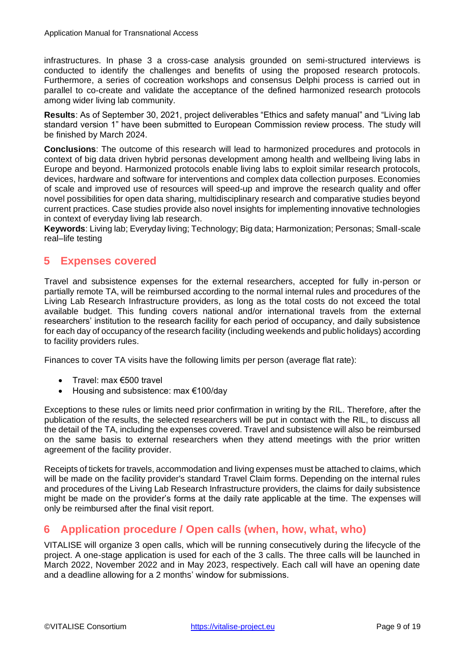infrastructures. In phase 3 a cross-case analysis grounded on semi-structured interviews is conducted to identify the challenges and benefits of using the proposed research protocols. Furthermore, a series of cocreation workshops and consensus Delphi process is carried out in parallel to co-create and validate the acceptance of the defined harmonized research protocols among wider living lab community.

**Results**: As of September 30, 2021, project deliverables "Ethics and safety manual" and "Living lab standard version 1" have been submitted to European Commission review process. The study will be finished by March 2024.

**Conclusions**: The outcome of this research will lead to harmonized procedures and protocols in context of big data driven hybrid personas development among health and wellbeing living labs in Europe and beyond. Harmonized protocols enable living labs to exploit similar research protocols, devices, hardware and software for interventions and complex data collection purposes. Economies of scale and improved use of resources will speed-up and improve the research quality and offer novel possibilities for open data sharing, multidisciplinary research and comparative studies beyond current practices. Case studies provide also novel insights for implementing innovative technologies in context of everyday living lab research.

**Keywords**: Living lab; Everyday living; Technology; Big data; Harmonization; Personas; Small-scale real–life testing

#### <span id="page-8-0"></span>**5 Expenses covered**

Travel and subsistence expenses for the external researchers, accepted for fully in-person or partially remote TA, will be reimbursed according to the normal internal rules and procedures of the Living Lab Research Infrastructure providers, as long as the total costs do not exceed the total available budget. This funding covers national and/or international travels from the external researchers' institution to the research facility for each period of occupancy, and daily subsistence for each day of occupancy of the research facility (including weekends and public holidays) according to facility providers rules.

Finances to cover TA visits have the following limits per person (average flat rate):

- Travel: max €500 travel
- Housing and subsistence: max €100/day

Exceptions to these rules or limits need prior confirmation in writing by the RIL. Therefore, after the publication of the results, the selected researchers will be put in contact with the RIL, to discuss all the detail of the TA, including the expenses covered. Travel and subsistence will also be reimbursed on the same basis to external researchers when they attend meetings with the prior written agreement of the facility provider.

Receipts of tickets for travels, accommodation and living expenses must be attached to claims, which will be made on the facility provider's standard Travel Claim forms. Depending on the internal rules and procedures of the Living Lab Research Infrastructure providers, the claims for daily subsistence might be made on the provider's forms at the daily rate applicable at the time. The expenses will only be reimbursed after the final visit report.

#### <span id="page-8-1"></span>**6 Application procedure / Open calls (when, how, what, who)**

VITALISE will organize 3 open calls, which will be running consecutively during the lifecycle of the project. A one-stage application is used for each of the 3 calls. The three calls will be launched in March 2022, November 2022 and in May 2023, respectively. Each call will have an opening date and a deadline allowing for a 2 months' window for submissions.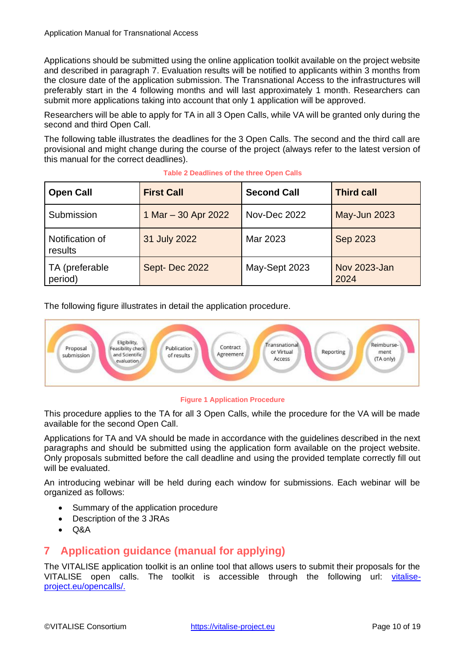Applications should be submitted using the online application toolkit available on the project website and described in paragraph 7. Evaluation results will be notified to applicants within 3 months from the closure date of the application submission. The Transnational Access to the infrastructures will preferably start in the 4 following months and will last approximately 1 month. Researchers can submit more applications taking into account that only 1 application will be approved.

Researchers will be able to apply for TA in all 3 Open Calls, while VA will be granted only during the second and third Open Call.

The following table illustrates the deadlines for the 3 Open Calls. The second and the third call are provisional and might change during the course of the project (always refer to the latest version of this manual for the correct deadlines).

<span id="page-9-2"></span>

| <b>Open Call</b>           | <b>First Call</b>   | <b>Second Call</b> | <b>Third call</b>    |
|----------------------------|---------------------|--------------------|----------------------|
| Submission                 | 1 Mar - 30 Apr 2022 | Nov-Dec 2022       | <b>May-Jun 2023</b>  |
| Notification of<br>results | 31 July 2022        | Mar 2023           | Sep 2023             |
| TA (preferable<br>period)  | Sept-Dec 2022       | May-Sept 2023      | Nov 2023-Jan<br>2024 |

| Table 2 Deadlines of the three Open Calls |  |  |  |
|-------------------------------------------|--|--|--|
|-------------------------------------------|--|--|--|

The following figure illustrates in detail the application procedure.



#### **Figure 1 Application Procedure**

<span id="page-9-1"></span>This procedure applies to the TA for all 3 Open Calls, while the procedure for the VA will be made available for the second Open Call.

Applications for TA and VA should be made in accordance with the guidelines described in the next paragraphs and should be submitted using the application form available on the project website. Only proposals submitted before the call deadline and using the provided template correctly fill out will be evaluated.

An introducing webinar will be held during each window for submissions. Each webinar will be organized as follows:

- Summary of the application procedure
- Description of the 3 JRAs
- Q&A

## <span id="page-9-0"></span>**7 Application guidance (manual for applying)**

The VITALISE application toolkit is an online tool that allows users to submit their proposals for the VITALISE open calls. The toolkit is accessible through the following url: [vitalise](https://vitalise-project.eu/open-calls/)[project.eu/opencalls/.](https://vitalise-project.eu/open-calls/)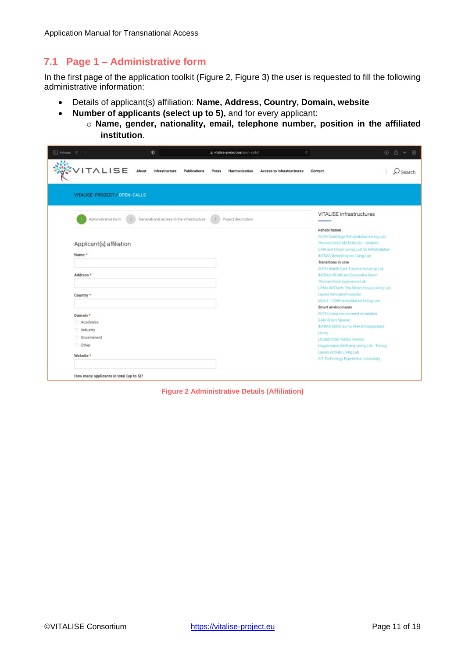## <span id="page-10-0"></span>**7.1 Page 1 – Administrative form**

In the first page of the application toolkit (Figure 2, Figure 3) the user is requested to fill the following administrative information:

- Details of applicant(s) affiliation: **Name, Address, Country, Domain, website**
- **Number of applicants (select up to 5),** and for every applicant:
	- o **Name, gender, nationality, email, telephone number, position in the affiliated institution**.

| $\Box$ Private $\langle \rangle$                                                                                                                | $\bullet$                                  | # vitalise-project.eu/open-calls/             |                            | Ğ.                                                                                                                                                                                                                                                                                                                                                                                                                                                                                                                                                                                                                                                                                                                                  | $\circ$ $\circ$ + |
|-------------------------------------------------------------------------------------------------------------------------------------------------|--------------------------------------------|-----------------------------------------------|----------------------------|-------------------------------------------------------------------------------------------------------------------------------------------------------------------------------------------------------------------------------------------------------------------------------------------------------------------------------------------------------------------------------------------------------------------------------------------------------------------------------------------------------------------------------------------------------------------------------------------------------------------------------------------------------------------------------------------------------------------------------------|-------------------|
| VITALISE                                                                                                                                        | About<br>Infrastructure                    | <b>Publications</b><br>Press<br>Harmonisation | Access to Infrastructrures | Contact                                                                                                                                                                                                                                                                                                                                                                                                                                                                                                                                                                                                                                                                                                                             | Search            |
| VITALISE-PROJECT / OPEN-CALLS                                                                                                                   |                                            |                                               |                            |                                                                                                                                                                                                                                                                                                                                                                                                                                                                                                                                                                                                                                                                                                                                     |                   |
| Administrative form<br>Applicant(s) affiliation<br>Name *<br>Address *<br>Country *<br>Domain *<br>Academia<br>ndustry<br>Government<br>O Other | Transnational access to the infrastructure | Project description<br>$\mathbf{S}$           |                            | VITALISE infrastructures<br>Rehabilitation<br>AUTH Centrifuge Rehabilitation Living Lab<br>Thomas More MOTION lab - Mobilab<br>GAIA and Ocean Living Lab for Rehabilitation<br><b>INTRAS Rehabilitation Living Lab</b><br>Transitions in care<br>AUTH Health Care Transitions Living Lab<br>INTRAS VR/AR and Snoezelen Room<br>Thomas More Experience Lab<br>UPM-LifeSTech- The Smart House Living Lab<br>Laurea Simulated Hospital<br>McGill - CRIR rehabilitation Living Lab<br>Smart environments<br>AUTH Living environment simulation<br><b>GAIA Smart Spaces</b><br>INTRAS MIND lab for AHA & Independent<br>Living<br>LiCalab Older Adults' Homes<br>Nagykovácsi Wellbeing Living Lab - Trebag<br>Laurea Activity Living Lab |                   |
| Website *                                                                                                                                       |                                            |                                               |                            | AIT Technology Experience Laboratory                                                                                                                                                                                                                                                                                                                                                                                                                                                                                                                                                                                                                                                                                                |                   |
| How many applicants in total (up to 5)?                                                                                                         |                                            |                                               |                            |                                                                                                                                                                                                                                                                                                                                                                                                                                                                                                                                                                                                                                                                                                                                     |                   |

<span id="page-10-1"></span>**Figure 2 Administrative Details (Affiliation)**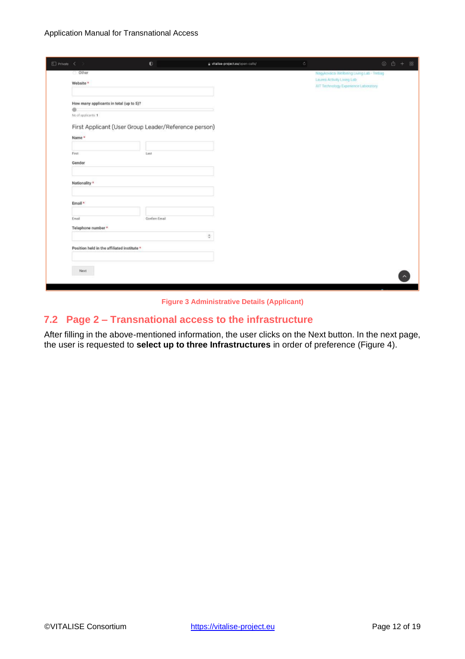|                                                                                                                                                                              |  |               |                                                                    |                                           | $\circ$ $\circ$ + $\circ$ |  |
|------------------------------------------------------------------------------------------------------------------------------------------------------------------------------|--|---------------|--------------------------------------------------------------------|-------------------------------------------|---------------------------|--|
| $\Box$ Private $\leq$<br>O Other<br>Website *<br>No of applicants: 1<br>Name*<br>First<br>Gender<br>Nationality *<br>Email *<br>Email                                        |  |               |                                                                    | Nagykovácsi Wellbeing Living Lab - Trebag |                           |  |
| How many applicants in total (up to 5)?<br>First Applicant (User Group Leader/Reference person)<br>Telephone number *<br>Position held in the affiliated institute *<br>Next |  |               | Laurea Activity Living Lab<br>AIT Technology Experience Laboratory |                                           |                           |  |
|                                                                                                                                                                              |  |               |                                                                    |                                           |                           |  |
|                                                                                                                                                                              |  |               |                                                                    |                                           |                           |  |
|                                                                                                                                                                              |  |               |                                                                    |                                           |                           |  |
|                                                                                                                                                                              |  |               |                                                                    |                                           |                           |  |
|                                                                                                                                                                              |  |               |                                                                    |                                           |                           |  |
|                                                                                                                                                                              |  |               |                                                                    |                                           |                           |  |
|                                                                                                                                                                              |  |               |                                                                    |                                           |                           |  |
|                                                                                                                                                                              |  | Last          |                                                                    |                                           |                           |  |
|                                                                                                                                                                              |  |               |                                                                    |                                           |                           |  |
|                                                                                                                                                                              |  |               |                                                                    |                                           |                           |  |
|                                                                                                                                                                              |  |               |                                                                    |                                           |                           |  |
|                                                                                                                                                                              |  |               |                                                                    |                                           |                           |  |
|                                                                                                                                                                              |  |               |                                                                    |                                           |                           |  |
|                                                                                                                                                                              |  |               |                                                                    |                                           |                           |  |
|                                                                                                                                                                              |  |               |                                                                    |                                           |                           |  |
|                                                                                                                                                                              |  | Confirm Email |                                                                    |                                           |                           |  |
|                                                                                                                                                                              |  |               |                                                                    |                                           |                           |  |
|                                                                                                                                                                              |  |               | $\frac{1}{2}$                                                      |                                           |                           |  |
|                                                                                                                                                                              |  |               |                                                                    |                                           |                           |  |
|                                                                                                                                                                              |  |               |                                                                    |                                           |                           |  |
|                                                                                                                                                                              |  |               |                                                                    |                                           |                           |  |
|                                                                                                                                                                              |  |               |                                                                    |                                           |                           |  |
|                                                                                                                                                                              |  |               |                                                                    |                                           |                           |  |

**Figure 3 Administrative Details (Applicant)**

#### <span id="page-11-1"></span><span id="page-11-0"></span>**7.2 Page 2 – Transnational access to the infrastructure**

After filling in the above-mentioned information, the user clicks on the Next button. In the next page, the user is requested to **select up to three Infrastructures** in order of preference (Figure 4).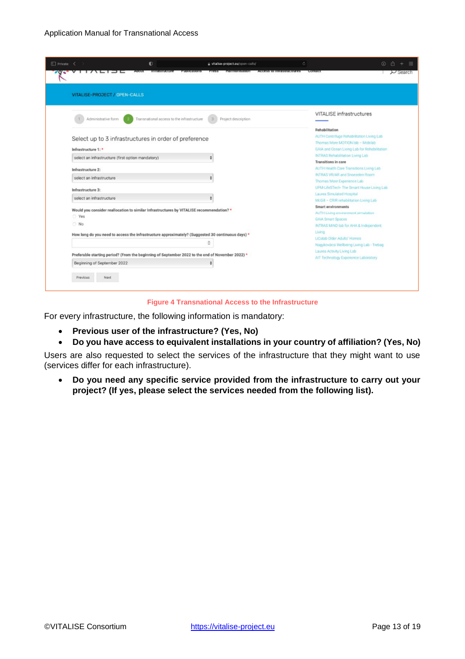| VITALISE-PROJECT / OPEN-CALLS                                                            |                                                                                                                                                 |                                                                        |
|------------------------------------------------------------------------------------------|-------------------------------------------------------------------------------------------------------------------------------------------------|------------------------------------------------------------------------|
| Administrative form                                                                      | Transnational access to the infrastructure<br>Project description                                                                               | VITALISE infrastructures                                               |
| Select up to 3 infrastructures in order of preference<br>Infrastructure 1: *             | Rehabilitation<br>AUTH Centrifuge Rehabilitation Living Lab<br>Thomas More MOTION lab - Mobilab<br>GAIA and Ocean Living Lab for Rehabilitation |                                                                        |
| select an infrastructure (first option mandatory)                                        |                                                                                                                                                 | <b>INTRAS Rehabilitation Living Lab</b><br>Transitions in care         |
| Infrastructure 2:                                                                        |                                                                                                                                                 | AUTH Health Care Transitions Living Lab                                |
| select an infrastructure                                                                 |                                                                                                                                                 | INTRAS VR/AR and Snoezelen Room                                        |
|                                                                                          |                                                                                                                                                 | Thomas More Experience Lab<br>UPM-LifeSTech-The Smart House Living Lab |
| Infrastructure 3:                                                                        |                                                                                                                                                 | Laurea Simulated Hospital                                              |
| select an infrastructure                                                                 |                                                                                                                                                 | McGill - CRIR rehabilitation Living Lab                                |
|                                                                                          |                                                                                                                                                 | Smart environments                                                     |
| Would you consider reallocation to similar Infrastructures by VITALISE recommendation? * | AUTH Living environment simulation                                                                                                              |                                                                        |
| ○ Yes                                                                                    |                                                                                                                                                 | <b>GAIA Smart Spaces</b>                                               |
| O No                                                                                     |                                                                                                                                                 | INTRAS MIND lab for AHA & Independent                                  |
|                                                                                          | How long do you need to access the infrastructure approximately? (Suggested 30 continuous days) *                                               | Living                                                                 |
|                                                                                          |                                                                                                                                                 | LiCalab Older Adults' Homes                                            |
|                                                                                          | õ                                                                                                                                               | Nagykovácsi Wellbeing Living Lab - Trebag                              |
|                                                                                          | Preferable starting period? (From the beginning of September 2022 to the end of November 2022) *                                                | Laurea Activity Living Lab                                             |
|                                                                                          |                                                                                                                                                 | AIT Technology Experience Laboratory                                   |
| Beginning of September 2022                                                              |                                                                                                                                                 |                                                                        |

#### **Figure 4 Transnational Access to the Infrastructure**

<span id="page-12-0"></span>For every infrastructure, the following information is mandatory:

- **Previous user of the infrastructure? (Yes, No)**
- **Do you have access to equivalent installations in your country of affiliation? (Yes, No)**

Users are also requested to select the services of the infrastructure that they might want to use (services differ for each infrastructure).

• **Do you need any specific service provided from the infrastructure to carry out your project? (If yes, please select the services needed from the following list).**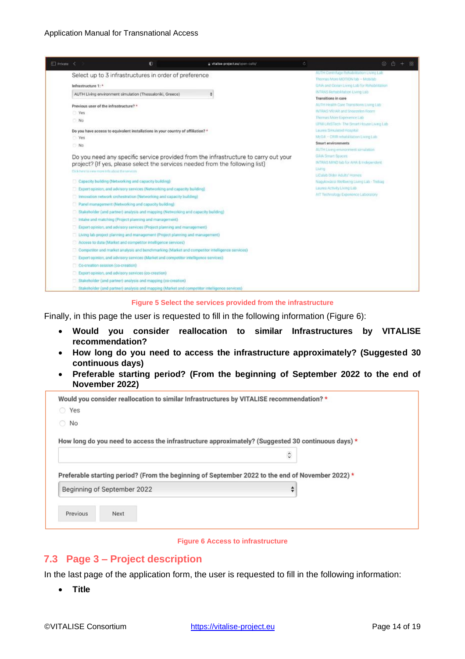

**Figure 5 Select the services provided from the infrastructure**

<span id="page-13-1"></span>Finally, in this page the user is requested to fill in the following information (Figure 6):

- **Would you consider reallocation to similar Infrastructures by VITALISE recommendation?**
- **How long do you need to access the infrastructure approximately? (Suggested 30 continuous days)**
- **Preferable starting period? (From the beginning of September 2022 to the end of November 2022)**

| Would you consider reallocation to similar Infrastructures by VITALISE recommendation?*           |               |
|---------------------------------------------------------------------------------------------------|---------------|
| ◯ Yes                                                                                             |               |
| No                                                                                                |               |
| How long do you need to access the infrastructure approximately? (Suggested 30 continuous days) * |               |
|                                                                                                   | $\hat{\cdot}$ |
| Preferable starting period? (From the beginning of September 2022 to the end of November 2022) *  |               |
| Beginning of September 2022                                                                       | ÷             |
|                                                                                                   |               |

#### **Figure 6 Access to infrastructure**

#### <span id="page-13-2"></span><span id="page-13-0"></span>**7.3 Page 3 – Project description**

In the last page of the application form, the user is requested to fill in the following information:

• **Title**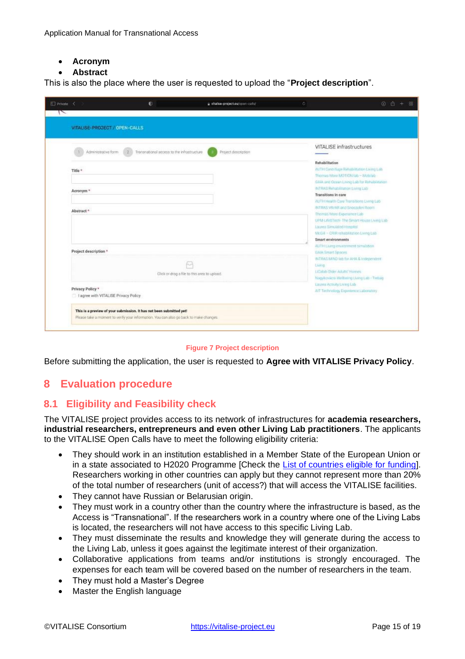#### • **Acronym**

#### • **Abstract**

This is also the place where the user is requested to upload the "**Project description**".

| Private<br>- 10<br>∼                                     | $\bullet$                                                                                                                                                      | a vitalise-project.eu/open-calls/                  | ö.<br>00                                                                                                                                            |
|----------------------------------------------------------|----------------------------------------------------------------------------------------------------------------------------------------------------------------|----------------------------------------------------|-----------------------------------------------------------------------------------------------------------------------------------------------------|
| VITALISE-PROJECT / OPEN-CALLS                            |                                                                                                                                                                |                                                    |                                                                                                                                                     |
| Administrative form                                      | Transnational access to the infrastructure.                                                                                                                    | Project description                                | VITALISE infrastructures                                                                                                                            |
| Title *                                                  |                                                                                                                                                                |                                                    | Rehabilitation<br>ANTH Centrifuge Rehabilitation Living Lab<br>Thomas More MOTION (so - Mobileb)                                                    |
| Acronym <sup>*</sup>                                     |                                                                                                                                                                |                                                    | GAIA and Ocean Living Lab for Rehabilitation<br>INTRAS Renabilitation Living Lab<br>Transitions in care<br>AUTH Health Care Transitions Eliming Lab |
| Abstract <sup>*</sup>                                    |                                                                                                                                                                |                                                    | INTRAS VR/AR and Snoezelen Room<br>Thomas More Experience Lab<br>UPM-LifeSTech: The Smart House Living Lab                                          |
|                                                          |                                                                                                                                                                |                                                    | Laurea Smulated Honolas<br>McGil - CR/R rehabilitation Living Lab<br>Smart environments                                                             |
| Project description *                                    |                                                                                                                                                                |                                                    | AUTH Living environment bimulation<br>GAIA Smott Spaces<br>INTRAS MIND (ab for AHA & Independent)                                                   |
|                                                          |                                                                                                                                                                | ŀч<br>Click or drag a file to this area to upload. | Living<br>LiCalab Older Adults' Homes:<br>Nagykovácsi Wellseing Living Lab - Tedaig                                                                 |
| Privacy Policy *<br>I agree with VITALISE Privacy Policy |                                                                                                                                                                |                                                    | Laures Activity Living Lab<br>AIT Technology Experience Liaboratory                                                                                 |
|                                                          | This is a preview of your submission. It has not been submitted yet!<br>Please take a moment to verify your information. You can also go back to make changes. |                                                    |                                                                                                                                                     |

#### **Figure 7 Project description**

<span id="page-14-2"></span>Before submitting the application, the user is requested to **Agree with VITALISE Privacy Policy**.

#### <span id="page-14-0"></span>**8 Evaluation procedure**

#### <span id="page-14-1"></span>**8.1 Eligibility and Feasibility check**

The VITALISE project provides access to its network of infrastructures for **academia researchers, industrial researchers, entrepreneurs and even other Living Lab practitioners**. The applicants to the VITALISE Open Calls have to meet the following eligibility criteria:

- They should work in an institution established in a Member State of the European Union or in a state associated to H2020 Programme [Check the [List of countries eligible for funding\].](https://ec.europa.eu/research/participants/data/ref/h2020/other/wp/2018-2020/annexes/h2020-wp1820-annex-a-countries-rules_en.pdf) Researchers working in other countries can apply but they cannot represent more than 20% of the total number of researchers (unit of access?) that will access the VITALISE facilities.
- They cannot have Russian or Belarusian origin.
- They must work in a country other than the country where the infrastructure is based, as the Access is "Transnational". If the researchers work in a country where one of the Living Labs is located, the researchers will not have access to this specific Living Lab.
- They must disseminate the results and knowledge they will generate during the access to the Living Lab, unless it goes against the legitimate interest of their organization.
- Collaborative applications from teams and/or institutions is strongly encouraged. The expenses for each team will be covered based on the number of researchers in the team.
- They must hold a Master's Degree
- Master the English language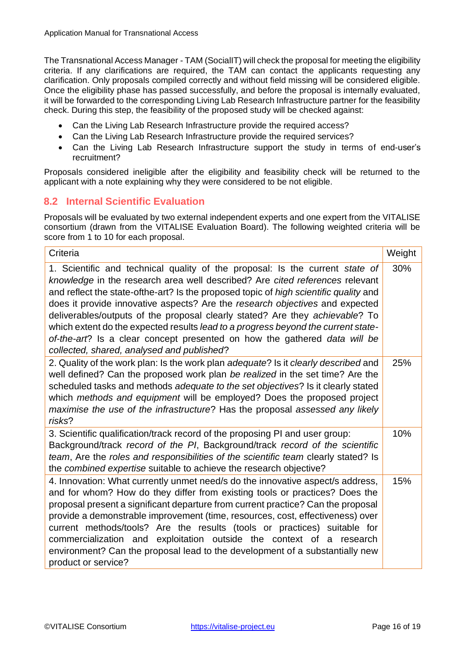The Transnational Access Manager - TAM (SocialIT) will check the proposal for meeting the eligibility criteria. If any clarifications are required, the TAM can contact the applicants requesting any clarification. Only proposals compiled correctly and without field missing will be considered eligible. Once the eligibility phase has passed successfully, and before the proposal is internally evaluated, it will be forwarded to the corresponding Living Lab Research Infrastructure partner for the feasibility check. During this step, the feasibility of the proposed study will be checked against:

- Can the Living Lab Research Infrastructure provide the required access?
- Can the Living Lab Research Infrastructure provide the required services?
- Can the Living Lab Research Infrastructure support the study in terms of end-user's recruitment?

Proposals considered ineligible after the eligibility and feasibility check will be returned to the applicant with a note explaining why they were considered to be not eligible.

#### <span id="page-15-0"></span>**8.2 Internal Scientific Evaluation**

Proposals will be evaluated by two external independent experts and one expert from the VITALISE consortium (drawn from the VITALISE Evaluation Board). The following weighted criteria will be score from 1 to 10 for each proposal.

| Criteria                                                                                                                                                                                                                                                                                                                                                                                                                                                                                                                                                                                                                              | Weight |
|---------------------------------------------------------------------------------------------------------------------------------------------------------------------------------------------------------------------------------------------------------------------------------------------------------------------------------------------------------------------------------------------------------------------------------------------------------------------------------------------------------------------------------------------------------------------------------------------------------------------------------------|--------|
| 1. Scientific and technical quality of the proposal: Is the current state of<br>knowledge in the research area well described? Are cited references relevant<br>and reflect the state-ofthe-art? Is the proposed topic of high scientific quality and<br>does it provide innovative aspects? Are the research objectives and expected<br>deliverables/outputs of the proposal clearly stated? Are they achievable? To<br>which extent do the expected results lead to a progress beyond the current state-<br>of-the-art? Is a clear concept presented on how the gathered data will be<br>collected, shared, analysed and published? | 30%    |
| 2. Quality of the work plan: Is the work plan adequate? Is it clearly described and<br>well defined? Can the proposed work plan be realized in the set time? Are the<br>scheduled tasks and methods adequate to the set objectives? Is it clearly stated<br>which methods and equipment will be employed? Does the proposed project<br>maximise the use of the infrastructure? Has the proposal assessed any likely<br>risks?                                                                                                                                                                                                         | 25%    |
| 3. Scientific qualification/track record of the proposing PI and user group:<br>Background/track record of the PI, Background/track record of the scientific<br>team, Are the roles and responsibilities of the scientific team clearly stated? Is<br>the combined expertise suitable to achieve the research objective?                                                                                                                                                                                                                                                                                                              | 10%    |
| 4. Innovation: What currently unmet need/s do the innovative aspect/s address,<br>and for whom? How do they differ from existing tools or practices? Does the<br>proposal present a significant departure from current practice? Can the proposal<br>provide a demonstrable improvement (time, resources, cost, effectiveness) over<br>current methods/tools? Are the results (tools or practices) suitable for<br>commercialization and exploitation outside the context of a research<br>environment? Can the proposal lead to the development of a substantially new<br>product or service?                                        | 15%    |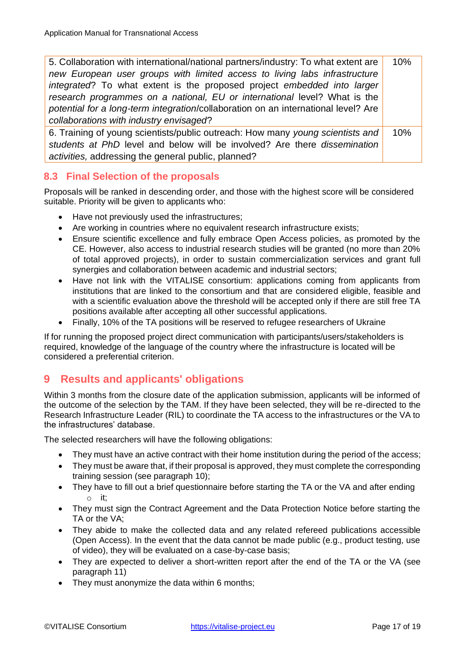| 5. Collaboration with international/national partners/industry: To what extent are | 10% |
|------------------------------------------------------------------------------------|-----|
| new European user groups with limited access to living labs infrastructure         |     |
| integrated? To what extent is the proposed project embedded into larger            |     |
| research programmes on a national, EU or international level? What is the          |     |
| potential for a long-term integration/collaboration on an international level? Are |     |
| collaborations with industry envisaged?                                            |     |
| 6. Training of young scientists/public outreach: How many young scientists and     | 10% |
| students at PhD level and below will be involved? Are there dissemination          |     |
| activities, addressing the general public, planned?                                |     |

#### <span id="page-16-0"></span>**8.3 Final Selection of the proposals**

Proposals will be ranked in descending order, and those with the highest score will be considered suitable. Priority will be given to applicants who:

- Have not previously used the infrastructures;
- Are working in countries where no equivalent research infrastructure exists;
- Ensure scientific excellence and fully embrace Open Access policies, as promoted by the CE. However, also access to industrial research studies will be granted (no more than 20% of total approved projects), in order to sustain commercialization services and grant full synergies and collaboration between academic and industrial sectors;
- Have not link with the VITALISE consortium: applications coming from applicants from institutions that are linked to the consortium and that are considered eligible, feasible and with a scientific evaluation above the threshold will be accepted only if there are still free TA positions available after accepting all other successful applications.
- Finally, 10% of the TA positions will be reserved to refugee researchers of Ukraine

If for running the proposed project direct communication with participants/users/stakeholders is required, knowledge of the language of the country where the infrastructure is located will be considered a preferential criterion.

## <span id="page-16-1"></span>**9 Results and applicants' obligations**

Within 3 months from the closure date of the application submission, applicants will be informed of the outcome of the selection by the TAM. If they have been selected, they will be re-directed to the Research Infrastructure Leader (RIL) to coordinate the TA access to the infrastructures or the VA to the infrastructures' database.

The selected researchers will have the following obligations:

- They must have an active contract with their home institution during the period of the access;
- They must be aware that, if their proposal is approved, they must complete the corresponding training session (see paragraph 10);
- They have to fill out a brief questionnaire before starting the TA or the VA and after ending o it;
- They must sign the Contract Agreement and the Data Protection Notice before starting the TA or the VA;
- They abide to make the collected data and any related refereed publications accessible (Open Access). In the event that the data cannot be made public (e.g., product testing, use of video), they will be evaluated on a case-by-case basis;
- They are expected to deliver a short-written report after the end of the TA or the VA (see paragraph 11)
- They must anonymize the data within 6 months;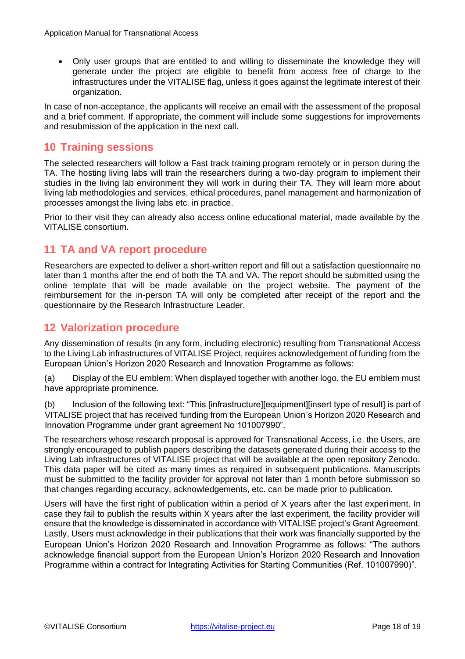• Only user groups that are entitled to and willing to disseminate the knowledge they will generate under the project are eligible to benefit from access free of charge to the infrastructures under the VITALISE flag, unless it goes against the legitimate interest of their organization.

In case of non-acceptance, the applicants will receive an email with the assessment of the proposal and a brief comment. If appropriate, the comment will include some suggestions for improvements and resubmission of the application in the next call.

### <span id="page-17-0"></span>**10 Training sessions**

The selected researchers will follow a Fast track training program remotely or in person during the TA. The hosting living labs will train the researchers during a two-day program to implement their studies in the living lab environment they will work in during their TA. They will learn more about living lab methodologies and services, ethical procedures, panel management and harmonization of processes amongst the living labs etc. in practice.

Prior to their visit they can already also access online educational material, made available by the VITALISE consortium.

### <span id="page-17-1"></span>**11 TA and VA report procedure**

Researchers are expected to deliver a short-written report and fill out a satisfaction questionnaire no later than 1 months after the end of both the TA and VA. The report should be submitted using the online template that will be made available on the project website. The payment of the reimbursement for the in-person TA will only be completed after receipt of the report and the questionnaire by the Research Infrastructure Leader.

### <span id="page-17-2"></span>**12 Valorization procedure**

Any dissemination of results (in any form, including electronic) resulting from Transnational Access to the Living Lab infrastructures of VITALISE Project, requires acknowledgement of funding from the European Union's Horizon 2020 Research and Innovation Programme as follows:

(a) Display of the EU emblem: When displayed together with another logo, the EU emblem must have appropriate prominence.

(b) Inclusion of the following text: "This [infrastructure][equipment][insert type of result] is part of VITALISE project that has received funding from the European Union's Horizon 2020 Research and Innovation Programme under grant agreement No 101007990".

The researchers whose research proposal is approved for Transnational Access, i.e. the Users, are strongly encouraged to publish papers describing the datasets generated during their access to the Living Lab infrastructures of VITALISE project that will be available at the open repository Zenodo. This data paper will be cited as many times as required in subsequent publications. Manuscripts must be submitted to the facility provider for approval not later than 1 month before submission so that changes regarding accuracy, acknowledgements, etc. can be made prior to publication.

Users will have the first right of publication within a period of X years after the last experiment. In case they fail to publish the results within X years after the last experiment, the facility provider will ensure that the knowledge is disseminated in accordance with VITALISE project's Grant Agreement. Lastly, Users must acknowledge in their publications that their work was financially supported by the European Union's Horizon 2020 Research and Innovation Programme as follows: "The authors acknowledge financial support from the European Union's Horizon 2020 Research and Innovation Programme within a contract for Integrating Activities for Starting Communities (Ref. 101007990)".